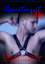# Elizabeth Lister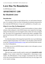# **Love Has No Boundaries**

*An M/M Romance series*

# **APARTMENT 1209 By Elizabeth Lister**

### **Introduction**

The story you are about to read celebrates love, sex and romance between men. It is a product of the *Love Has No Boundaries* promotion sponsored by the *Goodreads M/M Romance Group* and is published as a free gift to you.

### **What Is Love Has No Boundaries?**

The *Goodreads M/M Romance Group* invited members to choose a photo and pen a letter asking for a short M/M romance story inspired by the image; authors from the group were encouraged to select a letter and write an original tale. The result was an outpouring of creativity that shone a spotlight on the special bond between M/M romance writers and the people who love what they do.

A written description of the image that inspired this story is provided along with the original request letter. If you'd like to view the photo, please feel free to join the [Goodreads M/M Romance Group](http://www.goodreads.com/group/show/20149-m-m-romance) and visit the discussion section: *Love Has No Boundaries*.

Whether you are an avid M/M romance reader or new to the genre, you are in for a delicious treat.

### **Words of Caution**

This story may contain sexually explicit content and is **intended for adult readers.** It may contain content that is disagreeable or distressing to some readers. The *M/M Romance Group* strongly recommends that each reader review the General Information section before each story for story tags as well as for content warnings.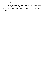This story is a work of fiction. Names, characters, places and incidents are the products of the author's imagination or are used fictitiously. Any resemblance to actual events, locales, or persons, living or dead, is entirely coincidental.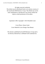All rights reserved worldwide.

This eBook may be distributed freely in its entirety courtesy of the *Goodreads M/M Romance Group*. This eBook may not be sold, manipulated or reproduced in any format without the express written permission of the author.

Apartment 1209, Copyright © 2013 Elizabeth Lister

### Cover Photo: Alonzo Gault

### Cover Model & Cover Design: Nate Benner

This ebook is published by the *M/M Romance Group* and is not directly endorsed by or affiliated with Goodreads Inc.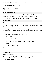# **APARTMENT 1209 By Elizabeth Lister**

### **Photo Description**

A muscular masked man, naked except for multiple leather harnesses and leather jock, sits clutching his crotch and placing his middle finger seductively on his tongue as he stares challengingly at the camera.

### **Story Letter**

*Dear Author,*

*I am working three jobs to make ends meet, going to college at night and have not had any time for fun. I live one lonely boring life.*

*My neighbor across the hall has been watching me for some time without my knowledge. He thinks I'm overworked and need some time to relax… with him.*

*Somehow his version of de-stressing is this:*

*[PROMPT IMAGE—See photo description]*

*And calling him Daddy.*

*Please write my story about how I ended up being his boy.*

*Thanks! ;P*

*PS A HEA most definitely!*

*Sincerely,*

*SheReadsALot*

### **Story Info**

**Genre:** contemporary

**Tags:** college, BDSM, fetish toys, first time, age gap, soul mates or bonded

**Word count:** 12,485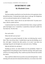# **APARTMENT 1209 By Elizabeth Lister**

### *1209*

The brass numbers stared back at me from the door to his apartment, down the hall from mine. I'd already been inside, about a week ago. He'd helped me out in an awkward situation and we'd shared a coffee.

Only now I knew. I knew who he was and what he did. I'm pretty sure I knew what he wanted with me.

I raised my hand very slowly and knocked three times, trying to quell the panic that began to rise. I wanted this. I wanted this so bad and I wouldn't let fear derail me. Not this time.

\*\*\*\*

### *One week earlier*

Where the hell were my keys?

I groped in my pocket frantically for them, not believing they weren't there. They were always there. I needed them to get into the building, out of this cold night. I checked the other pocket, to no avail. I put down my messenger bag and went through every nook and crevice. Nothing.

*What the hell did I do with them?*

Standing up slowly, my mind whirled over the possibilities. Maybe I'd dropped them in the parking lot when I'd left this morning. I did a quick sweep of the lot, not seeing anything. They could be anywhere between here and the bus station.

They could have fallen from my pocket at any point during the day—at my morning call centre job, the restaurant this afternoon, or at school, from where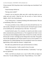I'd just returned. Did I drop them when I took the dogs out at lunchtime? God only knew.

I heard footsteps behind me.

"Having some trouble?"

I turned to see an attractive older man with a smile that made my eyes widen and cock twitch. I liked his face. He was tall, so I had to look up slightly, which I also found pleasant.

"I can't find my keys," I muttered, blushing with embarrassment. This was so humiliating. What was I, sixteen?

"I've seen you before. In fact, I think you live down the hall from me," he said casually, fishing his own keys from his pocket. He kept his gaze on mine as he reached past me, inserting his key in the door. "Excuse me."

I seemed locked in place. For a moment, we stared at each other as some silent communication passed between us. We recognized each other in more waysthan just acknowledging another tenant. In those few seconds, it became obvious that we knew seemingly private things about each other. My gaydar went off like gangbusters and I felt his interest in me as if he'd spoken it. Or perhaps that was wishful thinking? Out of my peripheral vision Isaw someone approaching, which ended the moment. I stepped aside.

The older man pushed the door open and beckoned me to follow.

I did, without question. I really wanted to know his name.

"Thank you. I don't know what I did with them," Isaid lamely. "I can't get into my apartment."

"Well, I can feed you and give you a cup of coffee while you figure out what to do," he said, holding out his hand. "Ryan Holloway. I'm in 1209."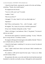I shook his hand firmly, enjoying the warmth of his skin and feeling… *something*. "Thanks, that would be great."

We stepped into the elevator.

"You're in 1203, aren't you?" he asked.

I nodded. "Yeah."

"How do you like it?"

I shrugged. "It's okay. Small. It's all I can afford right now."

"Bachelor?"

Huh? What a weird question. "Um… well, I'm single… yeah."

He laughed. "No, I mean, do you have a bachelor apartment?"

*Oh my God.* I blushed, feeling like an idiot. "Yeah."

"Mine's a bit larger. A one bedroom. I like it." He grinned. "You haven't told me your name."

The elevator doors opened as I stuttered an apology. "S-sorry." *What the fuck is wrong with me?* "I'm Henry Crocket."

He stopped, offering me his hand again in the middle of the hall. "Well, it's nice to finally meet you, Henry Crocket."

I shook his hand again, wondering if it was just an excuse for physical contact. I didn't care.

"Sure." I didn't really know what to say because I didn't remember ever seeing *him* before.

We walked to 1209 and he keyed the door open. "Come on in. Make yourself at home, Henry."

His apartment, like mine, was on the small side, but he had decorated and furnished it so that this was hardly an issue. Although the walls remained the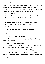neutral "apartment white", modern artwork in vibrant hues of blue and yellow hung on the walls, giving the room a sophisticated, cheerful feel.

I toed off my boots and put down my bag, suddenly feeling exhausted after my long day. Thank God I didn't have to go to the restaurant tonight. If I could just get into my apartment.

"You okay? You look like you're gonna fall over," Ryan said, pulling out a chair from his kitchen table. "Have a seat. Want a coffee?"

I nodded. "Please."

Ryan moved around his apartment with confidence and ease, at home in the small, organized space. "So what's your story, Henry?"

"Huh?" I asked.

He grinned. "Are you in school? You look about twenty."

"Good guess."

"Thanks."

"And, yeah, I'm taking classes at Algonquin right now."

He nodded, getting the coffeemaker set up and placing a couple of mugs on the counter. "Studying what?"

"Home care. It's sort of like nursing."

"Good for you. There's a lot of demand for those services nowadays." He sat down in a nearby chair. "I don't know if I could do it."

I shrugged. "It's not that bad. I've always liked helping people."

He stared at me intently, his grey eyes shining with intelligence and interest. I noticed the laugh lines at their sides, and the seeming softness of his lips. He had nice eyebrows too. "Do you have a student loan or are you working?"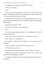"I'm getting a bit of money from OSAP but not much."

"Then you're working."

"Yep."

"Sorry to ask so many questions. It's just nice to be able to talk to you, finally." He leaned back in his chair, stretching his long legs out before him. "So, what are we gonna do about your keys?"

"I guess I'd better call the Super. I think I put the number in here." I said, pulling my phone from my back pocket. I found the number for the building's superintendent.

A gruff voice answered. "Yeah?"

"Mr. Conway? It's Henry Crocket from 1203."

"Yes?"

"Um, I seem to have misplaced my keys. I was wondering if you could let me into my apartment?"

"Sure, sure, but I can't come right now. I'm trying to fix a toilet."

"Okay. Well, I'm in 1209 right now."

He chuckled. "Visiting with Mr. Holloway are you? Why am I not surprised?"

"I beg your pardon?" What the hell did he mean by that?

"I'll be there as soon as I can."

He hung up, not leaving me any time to ask him about his comment.

I looked at Ryan curiously as I pocketed my phone. "He… doesn't seem surprised that I'm hanging out with you."

Ryan grinned. "Well, he's seen me with good-looking young men before." He winked.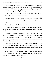I was thrown by this response because it meant a number of astonishing things. It meant he was popular with young men (no big surprise there). It meant he was likely gay, as I'd supposed (again, not a big surprise). And it meant he found me good looking (major surprise).

He cleared his throat and got up. "How do you take your coffee, Henry?"

"Um, with a bit of… cream." Our eyes met.

We stared at each other, and I swear my cock went from semi to full hardness in a nanosecond. I gulped, feeling the red flush into my cheeks.

*Oh, boy.*

"No sugar?" he said with the hint of a smile.

Ishook my head slowly from side to side, my eyes still captured. My pulse pounded in my veins. The truth was, I didn't need coffee. I needed to get laid. Badly.

I was, for all intents and purposes, a virgin. Oh, I'd had intercourse with a girl. Stumbling, blind, groping penetration with the expected result. It had left both of us depressed more than anything else. And the entire time I'd been thinking how hot it'd be to come in another guy's hand or on his stomach or, Jesus, have *him* come on or in *me*.

I knew after that experience I'd only ever be physical with guys. But the opportunities hadn't presented themselves. And now, I was too busy to think about anything except work and school, and almost too tired to jack off when I was at home. It was a sad, sad, life.

Ryan came back with our coffees and passed me mine. As we sipped and talked. I wondered at the fact that I felt so comfortable here. Who was this man and why did it feel like he already knew me?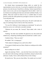We chatted about inconsequential things while we waited for the superintendent to arrive with a key. It was hard to completely relax in Ryan's presence, but only because I found him so alluring. I almost expected him to make a move on me, and was truly disappointed when he didn't. And I was too chicken to do anything more than stare and stutter and blush. Really, I was pathetic. What man would ever think of me as a suitable object of sexual pursuit? Luckily the coffee perked me up enough to converse on a basic level. I was still pretty tired.

Finally, Mr. Conway showed up with my key. He said I could make one copy of it and bring it back to him by end of day tomorrow.

"I'm sure Mr. Holloway's been keeping you entertained," he said as he looked my savior over with barely concealed contempt.

"Whatever do you mean, Mr. Conway?" Ryan asked, with a look of concern.

"Nothing," the other man mumbled. He glanced at me, then turned and walked away, whispering something under his breath that I couldn't catch.

I looked at Ryan. "That was weird."

He nodded. "He's a strange guy."

"Well, thanks for helping me out, and for the coffee."

"It was great to finally meet you, Henry. Maybe we could go *out* for coffee sometime?"

### *Was he asking me on a date?*

Again, the stuttering: "Well, I… sure, but I don't have a lot of time. I work at a call centre in the morning, walk dogs at lunchtime, and go to school in the afternoon. Usually, I have a shift at Boston Pizza in the evening."

He stared at me. "My, you are a busy fellow. No wonder you're so tired."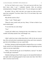As if on cue I had to cover a yawn. "I do want to go out with you, I just don't know when I can," I admitted, honestly. After my previous misinterpretation, I thought I'd better check. "You *are* asking me out, right?"

He smiled. "Oh yes. Well, why don't you contact me when you have a spare hour sometime? You know where I live. If I'm not home, slip a note under the door."

*Why did that sound so dirty?*

"Okay." I said. "Thanks again."

"Please be more careful with your key, Henry. I'd hate to think of you stuck outside again."

"It was luck that you came along."

"Very."

I turned and walked away, hearing the door close behind me. I knew I wouldn't fall asleep anytime soon, tired though I was.

\*\*\*\*

I didn't really have time to think about Ryan's offer for the next several days. My work and school commitments kept me busy and I never seemed to pass him in the building to even say a quick hello.

On Friday, during my shift bussing tables at Boston Pizza, my co-worker, Frank, noticed I was a little distracted when he caught me forgetting to put out cutlery on my just-wiped tables.

"Henry, what the hell has got you all daydream-y anyway?" he asked. "You finally get a boyfriend?"

I blushed, shaking my head. Frank was gay too, but enjoyed the freedom of one-night stands and getting groped in back rooms more than I did. Hell, I didn't even have time for *that*.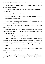I guess he could tell from my shamefaced denial that something was up, because he didn't let it go.

"You met someone, though, right?" He regarded me intently as I shrugged. "Someone hot?"

I met his gaze with what must have been an open confession.

"I knew it! Who is he?" he asked, sitting down in the booth I was cleaning.

"Just this guy in my building."

"Really? That's convenient. What's his name? A fellow student or a working stiff?" He grinned at his pun.

I shrugged again. "He's older. He works, I guess. He said his name was Ryan Holloway."

Frank stared at me, and I realized quickly it wasn't just shock that I'd actually spoken to a hot guy. His face paled and his mouth dropped open for a moment, then closed.

He coughed. "Did you say Ryan Holloway?"

I nodded, confused and a little anxious all of a sudden. I stopped wiping the table and just stared at Frank's startled expression. He emitted an impressed sigh/whistle as he slowly reached into his back pocket and pulled something out. He unfolded the piece of paper and held it up before me. "Does he look like this?"

My mouth went dry as I examined the full-page ad for some downtown establishment named… Holloway's.

*Oh, fuck.*

It was my sexy neighbor. But he wasn't wearing jeans and a T-shirt in this picture. He wore a leather harness, leather pants and heavy motorcycle boots.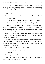He looked… even hotter. At his big, booted feet kneeled a young man, about my age, with spiky blond hair and a dog collar, his hands resting reverently on Ryan's hips, cheek pressed against the older man's leathered thigh.

"What is that?"

"Is this *him*? Seriously, is this the Ryan Holloway you're talking about?"

"Yes," I stammered.

"Fuck!" he exclaimed, regarding me with sudden respect. "You little shit."

I looked at him, surprised. He'd never called me anything like that before.

He laughed and shook his head. "I'm sorry. I just can't believe your luck." He waved the flyer before me. "Ryan Holloway is the sexiest fucking leather daddy in this city. He owns *this* place," he said, stabbing the flyer with his index finger. "Obviously."

Since I continued to stare at him, dumfounded, he went on. "Holloway's is the hottest BDSM spot in town. There are back rooms there to beat ALL back rooms. And I should know."

I sat down in the booth, feeling panicky rather than lucky at the moment. The image of the Ryan I'd had coffee with last week didn't mesh with this new information. "Maybe it's not the same guy." I said, taking the flyer from Frank and looking at it more closely.

It was definitely him. There could be no mistake.

Frank laughed again. "You had no idea?"

I shook my head.

"How did you meet him?"

I told him about losing my key and how nice Ryan had been, inviting me in for coffee and later, blatantly asking me out.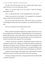"Oh. My. God. Half the fags in this city would piss their pants to get a chance like that! You are one lucky guy, Henry."

"Henry, can you get Table Six for me, please?" Sarah, the manager, interrupted our chat.

"Sure. I'm almost done here," I said, stuffing the flyer in my pocket.

"Frank, they need you in the kitchen," she mentioned, not noticing his military salute when she turned her back on us.

Our eyes met and Frank leaned close. "Don't worry, Ryan's a pussycat. Even though he eats boys like you for breakfast." He winked and left me to my task.

I felt my cock harden as my insides turned to jelly.

\*\*\*\*

When I got home that night I stripped off my clothes and sat down on my bed, laying the flyer out beside me. I could hardly believe I'd sat at this man's kitchen table and had a cup of coffee with him. He looked even hotter in this photo than he had that day. My dick got hard under my own touch quickly as I stroked it and stared at the image on the recycled paper.

I wished *I* was the boy in the photo. I desperately wanted to be that sexy young man at Ryan's feet, willing to do whatever he desired, wanting to be told what to do and how to do it. God knows I didn't have enough guts to take any initiative myself. Maybe this wasthe answer. I was good at doing as I was told, atschool and at work. Why would a sexual relationship be any different?

I realized I would be happy to kneel before him, totally naked if hewished. Maybe he'd make me suck his cock until he came down my throat.

I moaned, stroking my dick faster, using some lube from my bedside table to enhance the process.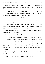Maybe he'd tie me to his bed and fuck me proper, the way I'd wished someone had done years ago. I'd say "Yes, Sir" and "No, Sir"—I'd be so good for him.

I breathed harder, pulling so fast now, imagining him tying me up and picturing that warm smile. In my head I heard him say, "Come for me, Henry," as I climaxed, shooting a massive load across my bed.

\*\*\*\*

And here I stood, outside his door—scared shitless but wanting it so bad there was no turning back.

He didn't answer right away, and I wondered if he was home. It was Sunday afternoon, but maybe he was at the bar already? My nervousness began to subside into disappointment when the door opened.

The Ryan I knew stood there, in bare feet, wearing a faded pair of jeans and an American Eagle T-shirt.

"Henry!" he said, warmth spreading over his features as his eyes lit up.

"Hi." I smiled in response but felt the nerves return. "Sorry to bother you."

He laughed. "Are you kidding? Come in, come in," he said, holding the door wide and backing up. "I worried you'd forgotten about me."

Istepped inside his apartment for the second time, looking around to see if I'd missed any hints about his lifestyle. I noticed most of his furniture was made of leather, but it's not like I'd missed handcuffs draped over the sofa or anything.

"No, Sir," I said, then froze. I glanced at him to see if he'd noticed. He looked at me, surprised, as his smile widened.

"Well, I'm glad. Have a seat. No school today, I take it?"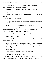I shook my head, sitting down on his brown leather sofa. My hand, of its own will, reached out to stroke the soft fabric.

"Would you like something to drink? I've got beer, wine, Coke."

"Um, is it regular Coke?"

He nodded. "I don't believe in artificial sweeteners. I don't think they're very healthy."

"Okay. Well, I'll have a Coke then."

He went into the kitchen and returned with an ice-cold can. He popped the top and handed it to me.

"Thanks." I took a gulp, delighting in the full, sugary taste of it.

"Not that I think pop itself is all that healthy, but those chemical sweeteners are nasty." He took a swig of the beer he'd gotten for himself, sitting across from me in a black leather pub chair.

I tried to think of something to say. "I guess you like leather."

*Brilliant, just brilliant, Henry.*

He tilted his head, his gaze holding mine as he answered. "Yes. You could call me a devotee."

I felt my cock thicken and swell as our eyes held. I wanted to tell him I knew. I knew who he was, and what he liked to do to boys like me. Maybe I should. Anything was better than obvious statements about his décor.

"I know who you are."

He seemed surprised, but not worried. "Who told you?"

"A friend of mine. He's been to your club."

He nodded. "But you're here. You're notscared." The corner of his mouth lifted, as if to reassure me that there really wasn't anything to be afraid of.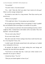"I'm terrified."

"You don't look it. You look aroused."

"I'm… both." Holy shit. Did I just admit I had a hard-on for this guy? Where was this courage coming from?

We looked at each other for a long moment. Then Ryan stood up and moved away.

"Where are you going?"

"I'll be right back, Henry. I'm just going to get something."

He was going to get something. What was he getting? A whip? A paddle? My cock hardened while sweat began to accumulate on my palms.

In a few moments, he came back. He tossed something toward me, which I caught by reflex. I looked down at the leather cuffs in my hands. They were beautiful—soft and well made.

"Do you want to play, Henry?"

*Do you want to play, Henry?*

Why did it seem like I'd been waiting to hear those words from this man for a very long time? Years, even.

I couldn't speak. My breaths seemed loud in the small space as I nodded twice, looking him in the eyes.

He grinned, the dimple in one cheek making him seem benign and charming. But what did he have planned?

"You'll have to do better than that. I need your verbal consent to be restrained. Do you give it, Henry?"

I cleared my throat. "Yes, Sir."

"Then put your hands together in front of you."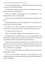I did, my heart beating wildly. I watched as he fastened the cuffs around my wrists and attached them together.

He looked at me, smiling with utter kindness. "We'll keep this very basic, Henry. I know you're inexperienced."

I felt panic suddenly, remembering just how inexperienced I was. Embarrassed to tell him, I simply nodded.

"Okay. I want you to lie back on the sofa and stretch your arms above your head."

He told me what to do, just like I'd imagined. He was in total control of this and I loved it. I did as he asked.

He peeled off his T-shirt, revealing the moderately-haired and very muscled chest I'd seen on the brochure. He let the shirt drop to the floor.

"I'm going to take your pants off."

"Okay," I said quickly, eagerness and excitement plain in my voice.

He chuckled softly as he undid the fly of my jeans and pulled them off while I lifted my butt to help him. He made sure my black boxer briefs stayed on, although I wouldn't have protested if he'd taken them too.

He threw my jeans aside and looked down at me. I looked down too. The outline of my erect cock could be seen distinctly beneath the cotton of my briefs. There was even a little wet spot where some pre-cum had leaked out. As we watched, the spot got bigger.

"I'm sorry," I murmured, embarrassed. I hoped he realized it wasn't piss or anything gross like that.

"Don't be," he said simply. He reached out and touched the wet spot, making me gasp as my cock surged. Rubbing it gently, he lifted his finger to his nose and inhaled.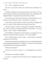"Oh… fuck." I whispered, eyes wide.

"Not yet," he said with a smile as he reached for the waistband of my boxers.

He lifted it, letting the tip of my hard-on peek out. He made a very sexy noise in the back of his throat as he pulled the boxers down, revealing my full, engorged length. "I'm going to take my time with you, Henry."

*Oh, Jesus*. But how would I last? I felt like I'd come just from the way he looked at my cock right now, like at a rare delicacy or a treasure.

"I don't think you get fucked very often, do you, Henry? Although why that is I'm clueless. There should be men lined up at your door."

I felt like I needed to confess, even though I worried about looking like a kid. I knew the game we played required trust and honesty. "I've never actually… been… fucked," I admitted quietly.

He still held the waistband of my boxers below my straining cock as he admired it. His gaze met mine in surprise. "You've only topped?"

"Um." I shook my head. "I haven't really… I mean, I haven't really done anything with a man before."

He seemed astounded, but not displeased. In fact, his mouth dropped open and his breathing quickened all of a sudden. He covered my cock and stood up, grabbing his beer and taking a long drink.

"What about with girls?"

"Just once. It was awful. I came but… I was thinking about cock when I did."

He looked at me, smiling in sympathy.

"I'm sorry," I said again. Why did I feel the need to apologize to him all the time?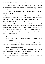"Stop apologizing, Henry. There's nothing wrong with you." He took another long drink then put the bottle back down on the side table. He looked at me again, his eyes traveling over my almost naked form slowly.

"You're not going to stop, are you?" I asked, scared that he would say yes, for whatever reason.

"I don't think I *could* stop now, even if I thought I should. But I don't think that." He sat on the couch again. "I think you need this, Henry." He slid his fingers under the waistband of my shorts again, this time peeling them all the way down and sliding them off over my naked feet.

"I do. I do need it, Sir," I panted, so grateful that he still had some respect for me—that he still wanted me, even though I was a loser. I was so desperate for physical contact right now I had no shame. I pumped my cock desperately into the empty air while he watched and didn't care how it made me look.

Ryan chuckled, running his broad hand through his hair. "Jesus, Henry, you're not making this easy."

"Sir?"

"I'm trying to stay calm and take my time. When you look better than a big, fat, juicy steak."

I made a very unmasculine whimpering noise in my throat.Jesus, would he just get started, dammit? I'd waited for so long and I couldn't wait anymore.

"Please," I said. He was killing me.

"Be still," he said, in a voice so hard-edged that I immediately obeyed. It was so different from his usual relaxed cadence that it shocked me into stillness. "Stop squirming like a worm on a hook, boy."

"Yes, Sir," I said quickly. I would do whatever he asked, as long as he would touch me.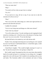"There are some rules."

"Okay."

"You need to tell me when you get close to coming."

"Yes, Sir."

"If you need me to stop, tell me to stop. If you want me to take the restraints off, tell me to do so."

"Okay."

"We're not at the club, where things are a little more rigid and there are protocols and safewords and such."

I nodded. He continued.

"You're in my living room and things are a little more relaxed."

"I don't feel very relaxed."

"You will in about an hour," he said, reaching out and wrapping his hand around my straining cock. I closed my eyes at the pleasure of having a hand that wasn't my own on my dick. "If you last that long."

My head fell back as he stroked my cock with obvious skill.

Finally! A hot, amazingly interesting man was touching my cock. I opened my eyes to see because I could hardly believe it. I closed them again, a smile on my face I couldn't hide.

I heard Ryan's laughter. "This would be highly amusing if it wasn't so hot," he said, the arousal in his voice giving it a deeper lilt.

But I couldn't speak. He pumped my dick a few more times, then raised his hand to his mouth and spat in it, returning it to my aching cock. I struggled against the wrist cuffs because I felt I needed to do something with my arms and hands. This frustration added to the excitement and sense of being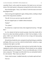controlled. Ryan's saliva made the sensation of his hand on my cock more intense. My mouth opened, a deep groan issuing forth into the relative silence.

Ryan chuckled again. "Jesus, I can't believe I'm the first man to evertouch this gorgeous dick."

I bent one leg and straightened it again, feeling restless, needing to dispel some of the rising tension somehow.

"Be still. Or do you want me to get the ankle cuffs?"

My eyes snapped open as I nodded without hesitation.

"Really?"

"Yes, please."

He stroked me a couple more times, then stopped and stood up. "All right then"

In a few minutes he had me trussed up proper, knees bent, hands still in front of me rather than behind, probably so I didn't feel too helpless. At this point, I didn't care what he did to the rest of me as long as he kept paying attention to my cock.

He knelt down beside the sofa, running his broad hand along my naked hip and thigh, all the way to my foot, which he tickled briefly. I jerked as a surge of pleasure shot right to my balls.

He slipped his hand between my calves and ran it up the inside of my leg, cupping my testicles when he reached them. Then he leaned over me, making my pulse speed up as he whispered, "You are one delectable piece of fresh meat, young man." His tongue traced the shell of my ear and pushed inside it for a hot moment. "May I taste you, Henry?"

I knew what he meant. I nodded frantically, my breaths rapid and loud.

*Fuck yes.*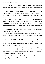He pulled away and in a moment had my cock in his hand again. Soon I felt his tongue on my glans, circling and licking the moisture from the small opening.

I groaned loudly, my hands finding the soft cashmere throw pillow above my head and fisting it. He tongued my dick all over and licked my balls too, taking one and then the other in his mouth gently, causing the most unbelievable sensations to move through me.

By the time he actually swallowed my cock I'd lost all sense of time and space. I could barely remember where I was and how I'd gotten here. All I could think about was that wonderful wetness—that hot vacuum around my dick, those skilled fingers delving into places that had never received such attention.

God knowsif I even made it close to the hour he'd mentioned when I heard myself saying, "I'm close, I'm close."

I expected him to take his mouth off me at least, but he only sucked harder. His hands squeezed my hips, keeping me still as he moved his expert mouth on me.

"Oh… oh… FUCK," I yelled as I shot a humongous load down his throat, my entire body pulsing with welcome release. "Fuck… fuck… *Jesus*," Iswore as the intense, much-needed orgasm carried on for several moments, while Ryan sucked and milked my dick.

When my muscles finally relaxed I sank like jelly against the soft leather cushions and Ryan let me slide out of his mouth. The air felt cool on my wet dick as a couple of remaining tremors surprised me. I kept my eyes closed, enjoying the languid feeling of post-release.

The sound of a zipper being pulled made me open my eyes finally, to stare at Ryan's big, erect cock. Of course, it would be polite to return the favor.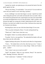I opened my mouth, eyes glancing up as he pressed the head of his dick gently against my lips.

"Oh my God, Henry," he said shakily. "Can you do it? Can you make me come with your mouth? It won't take long, I promise."

It was a challenge I was more than happy to accept. I opened my mouth wide, letting him push his cock inside and basically fuck my mouth. After a few moments he grunted and came, squeezing his eyes shut as his semen filled my mouth and dripped down over my chin and cheeks. I didn't swallow, only because the angle was wrong and we hadn't talked about his HIV status yet. He knew I was safe, but I couldn't be sure of him. God knows how many men *he'd* fucked in his lifetime.

Watching Ryan come was one of the best damn things I'd ever seen.

"That was pretty fucking hot, Henry," he said, tucking himself up.

"Thank you?" I didn't know what else to say.

He laughed. I think I was already addicted to that sound.

"So polite. You're a very good boy." He unbuckled the leather cuffs and threw them onto the coffee table.

Isighed, basking in this praise. We stared at each other for a long moment.

"I have…" He looked down at his feet, then back up at me. "I mean, I know so much. I'd like to teach you so many things. I think you'd make a great… student."

"Sure. I mean I want you to teach me stuff."

"Stuff?" He grinned. "What *are* your interests, Henry?" He raised the cuffs. "Bondage, obviously. What else?"

"I don't really know." I admitted. "I'd like to find out."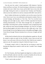Over the next few weeks I visited apartment 1209 whenever I had the chance and Ryan was home. We found mornings or afternoons on weekends worked well, since I didn't have classes and he didn't have to be at the club until eight. During the week we connected most Tuesdays and Thursdays, when my last class ended at two and my restaurant shift didn't start until six.

Ryan's leather sofa became very familiar to me over the course of my first visits. I have to say I was a very enthusiastic and responsive student. Since we covered bondage and blowjobs on Visit One, Visit Two involved more bondage and some light ass play, which I LOVED, especially the leisurely rimming demonstration. On Visits Three through Five, he expanded my knowledge concerning direct prostate stimulation and accompanying hand jobs, using even more intricate bondage techniques. On Visit Six, he simply tied me spread-eagled to his bed to tease me with a dildo and a crop. Visits Seven through Ten involved light percussion with paddles and floggers, whilst Visits Eleven through Thirteen introduced me to the joys of nipple and ball torture.

All this time he refused to fuck me with anything but a gentle toy. He said he wanted to make me ready for him. He didn't want to hurt me and God knows I was well aware of the size of his dick. But I think he just wanted to make me wait. He wanted me to beg for it before he'd give it to me.

I'd already waited a hell of a long time but was having so much fun learning the things Ryan wanted to teach me that I wouldn't have changed anything.

\*\*\*\*

On Visit Fourteen, after Ryan hogtied and edged me to within an inch of my life and finally made me come like a crazed sex banshee all over his new sheets, I asked him when he would take me to Holloway's.

"I don't want to take you there."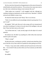My face must have betrayed my disappointment at this answer because he smiled kindly and raised his eyebrows. "Do you know how manymen come to my club every weekend just dying to meet someone like you?"

"What makes me so special?" I still struggled with this, although my confidence had grown immensely over the course of my "education". I still felt awkward and childish in many ways.

He shook his head and just said "Henry" like it was obvious.

"Well, I'm incredibly hot and astoundingly talented at giving head. Or so you've said."

He laughed. "Well, yeah. But you're also young, still very inexperienced even after everything we've done so far and, most of all, intelligent, witty and kind. Those last three traits are the rarest."

"So, let them meet me," I said, secretly eager to be the object of so much attention.

He looked at me. He didn't say anything for a little while, then stood and started to pull on his pants.

"What's wrong?"

He did up his jeans, watching me carefully. I picked some dried bits of jizz out of the hair on my chest where he'd painted me after getting me off first.

"Y'know, I may seem really confident and self-assured most of the time. But... I'm worried if I take you down there you'll see someone you like better than me."

"What?"

He nodded.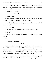I couldn't believe it. "You, Ryan Holloway, are seriously worried I will be distracted from your skillful mastery of my mind and body by some other Dom who attends the club that you *own*? Are you kidding me?"

He nodded. "Could happen."

I shook my head. "Won't."

"How do you know?"

"I just do. Anyway, I want to go with you, as your boy. I want you to show me what it's like playing around in one of those rooms."

He still looked hesitant. "It's like parading a steak around a pack of bloodhounds, Henry."

"You'll protect me."

He rolled his eyes, and relented. "Fine. You free Saturday night?"

"I will be."

"Okay, we'll go. But you will do everything I tell you to do or you might get hurt."

"Okay."

"And you'll need a new outfit."

\*\*\*\*

Did I mention that having a spontaneous affair with a well-known Leather Daddy did wonders for my self-confidence? Unfortunately, it meant that sometimes I became *overconfident* and got myself into scary situations, such as accompanying said Leather Daddy to his BDSM club wearing clothing designed to inflame the desires of lesser pervs than his patrons.

"Don't worry, I won't let anyone near you," Ryan assured me as we parked in the back lot of his Jarvis St. Club in the owner's designated spot.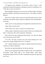"I'd appreciate that. Suddenly I do feel like a piece of meat," I said, noticing several gruff looking men watching me closely as I exited Ryan's car. "Why did you dress me like this?"

Ryan shrugged, looking me over in my new, extremely tight, red leather pants, Doc Martens, chest harness and not much else. "You said you wanted to blend in."

Ryan wore a similar outfit to mine, but with black pants, kick-ass steeltoed boots, and a thicker harness, plus his Leatherman's hat. He looked like a wet dream.

"Hello, boys!" he said, greeting the men gathered outside the back door.

"Ryan. Who's the sexy boy?"

"This is Henry. He's mine," he said in no uncertain terms.

"Hmm, maybe I could borrow him for an hour. When you're finished with him?" a skinny guy with a thick moustache commented.

Ryan stared at the man, shaking his head quickly. "No. Only me. Make sure everyone knows that, Ricky."

"Yes, boss," the hairy, muscular man who stood smoking next to the skinny man, replied, lifting his hat to me. "Hi, Henry."

"Hi," I replied, feeling out of my depth. I suddenly yearned for the peace and privacy of Ryan's apartment.

Ryan took my hand and pulled me into the bar after him.

When my eyes adjusted to the darkness inside the club, I saw Leathermen everywhere. Some stared right at me, leering almost, while others surreptitiously glanced away from their companions and gave me approving once-overs.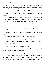I stayed as close to Ryan as possible. He spoke to several people, introducing me and letting them know about his hands-off policy. He asked the man who wastending bar if anyone was using Room One. The man, whom he introduced as Luke, shook his head and handed Ryan a key.

"What's in Room One?" I asked nervously, as Ryan led me to the back of the bar.

"A few things," he replied evasively. He led me down a short passage at the back of the bar to a door with a paddle nailed to it. I glanced down the hall to see two other doors, but couldn't make out the items attached to each one.

Ryan unlocked the door, just as a vibrantly dressed drag queen approached us.

"Ryan, love, where you been?" she said, giving him a big hug and kissing his cheeks.

"Caterina, you're a sight for sore eyes. You keeping things under control here?"

"You better believe it. And who is this gorgeous creature?"

"This is Henry. He's the one I was telling you about."

Caterina gasped with over-the-top astonishment. "Oh, Ryan. The virgin?" Ryan coughed. "Well."

I glared at him. "Thanks. Did you tell everyone?"

"Honey, we were all virgins once," Caterina said, glancing with derision at Ryan. "Some of us longer ago than others."

The laughter came bubbling out of me, the result of my nervousness.

"Oh, you *are* cute!" she exclaimed. "Tell you what, when he finally fucks you, you come back and tell Caterina how you liked it. I love to hear all that good stuff. Plus, I can give you some pointers on some great techniques."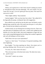"Okay."

"Honey, you're gonna love it. I don't know why he's making you wait for it." She glanced at Ryan, this time admiringly. "Oh, wait a minute. Yes I do. Cause once you get it, you ain't gonna give him any peace. Poor man'll be worn out in a week."

"That's highly unlikely," Ryan muttered.

Caterina laughed. "Well, you boys have fun in there." She walked off in her huge polka dot pumps, swishing her hips with exaggeration.

Ryan rolled his eyes and led me into the dark room. He flicked a switch, igniting lamps around the walls of the small room that gave it a soft yellow glow. He shut the door behind us and locked it.

I looked around, my eyes flicking from one thing to the next. There were only three pieces of equipment in this room—a bench with a padded top and shackles on its four legs (it didn't take much imagination to figure that one out); a mesh swing/sling hanging from the ceiling, and a wooden X against the side wall with bindings at all four stations.

"Well? Does it live up to your expectations?"

"I guess so. I don't know." To be honest, I'd expected something a little more frightening.

Ryan laughed. "You keep surprising me, Henry. One minute you're a quivering, blushing violet. The next you're a saucy little cunt."

"I'm sorry, Sir. I don't mean to be saucy."

"This is the most basic of the three back rooms. The others have more… ah… specific items."

"Like what?" I asked, very curious.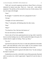"Well, one's set up for suspension and electro. Room Three is a bit more industrial for intense scene play. There are… hoses and… some medical equipment." He said this as if he worried he'd scare me. On the contrary, I felt my cock surge at the thought.

"Jesus"

He shrugged. "I wanted this club to be a playground of sorts."

"Uh huh"

"I thought we'd start with the basics."

"Okay," I said quietly, still thinking about the other rooms.

"Strip."

"What?"

"You heard me. Now. But leave the harness on."

Our eyes met and my cock throbbed.

I bent to take off my boots, glancing between my legs while I untied the laces to see him looking at my ass while he palmed the bulge in his pants. He winked when he caught me looking. "Hurry up, Henry."

"Yes, Sir."

I got the boots and socks off asfast as I could, then pulled down the leather pants—with some difficulty as they were so tight. In a few moments I stood essentially naked before him, my cock jutting out in front of me.

"Jesus, Henry, that prick is gonna be the death of me," he said, staring at the object in question.

I looked down at my dick, which didn't seem all that spectacular. Ryan had said it was pretty nice, which I appreciated. I figured he'd seen his share of penises.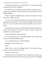"I still don't understand what's so special about it," I murmured, blushing with pleasure at his praise nonetheless.

He reached out and examined it with his fingers, as though it were a strange type of rare animal. It responded to his touch, swelling even more and standing straighter.

"Well, I've taught it everything it knows. I like that." Hewinked. "Now get over to that wooden cross, boy."

"Yes, Sir," I said, my breath quickening with excitement. How would he arrange me? What would he do to me? I knew he probably wouldn't fuck me here, at the club. He'd said as much. But the possibilities were still pretty endless.

He positioned me facing the wooden beams and fastened my ankles and wrists to the contraption. "It's called a St. Andrew's Cross. St. Andrew was murdered on a cross just like this."

"That's encouraging," I said sardonically.

"It's a pretty common piece of BDSM equipment. Very versatile and efficient for multiple bondage positions."

"Are you going to flog me?" I asked breathlessly.

He laughed. "Would you like that?"

"Yeah."

"Quiet. I know you love to be flogged, Henry. You've made that pretty obvious, ever since I did it the first time."

I blushed. "I know. Sorry."

He referred to the very first time he'd used a flogger on me. I think it was Visit Seven? I had them all written down in my journal at home. He'd plugged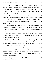me for the first time, a tantalizing procedure in and of itself, and proceeded to flog me. I came in a matter of minutes, much to the surprise of us both.

Ryan backed up to look me over, palming his bulge again and emitting a quiet moan. "Seeing you on that cross is making me so damn horny. It'll be hard to keep from tapping that ass."

I writhed impatiently, wanting nothing more than to have it tapped, and soon. The weeks of teasing were taking their toll. Yes, he'd fucked me with toys and made me come in a myriad of ways, but I wanted his dick inside me now, not a rubber facsimile. He'd turned me into a horny little slut and I wanted it bad.

He moaned again, and I heard him drop to his knees. Suddenly his large hands were on my buttocks, his thumbs digging in and spreading me. I gasped in surprise, not expecting it. I felt his hot tongue slide over me and poke me hungrily.

I groaned as he spread me wider. My legs stiffened as he played me with his tongue, my arms reflexively fighting their confines. Metal rattled against wood as I struggled and gasped.

The first time he'd done this to me I couldn't believe how good it felt and how deliciously perverted it seemed. To have this sexy, motherfucking hunk of a man tonguing my ass was a revelation. He seemed to enjoy it too. Later he told me it was one of his favorite things to do.

I felt his excitement as he breathed heavily and ate at me fervently. I couldn't get away from this torment—I didn't really want to—but it became almost too much, making my cock hard and wet from the excitement. His stubble scraped my sensitive skin, providing a rough counterpoint to his smooth, insistent tongue.

"Dammit… you have to fuck me Ryan. I don't know how much more of this I can take." I panted.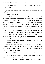He didn't say anything. Soon I felt his index finger push deep into me.

"Oh… fuck."

For some reason that long, thick finger sliding up my ass felt better than anything. Always.

He laughed. "You like that, huh?"

I moaned as he swiveled it inside me and added a second finger. I grunted as both fingers sank deep and pressed against my prostate. He'd made me come hands free this way a few days ago. After fingering me like this for almost an hour, taking his time—bringing me close, then backing off—until I'd begged him to get me off. His expert touch had done so in a matter of seconds after that plea, with nothing on my dick but cold air and two sets of eyes. Seeing it shoot and convulse on its own was something I'd never forget.

We did more conventional things as well, like finally going out for that coffee and also to a movie together, which proved we could get along well in non-sexual situations. Ryan was funny, charming and kind. It turned out he had room in his personality for both that guy and the intimidating Leather Daddy I was getting to know and liking just as much.

I whimpered in protest as he withdrew his fingers but hoped he would get the flogger now. I was ready.

When I felt cold metal at my anus I realized he wanted to plug me first. Trembling in anticipation as the hard steel pressed against me, I tried to relax as he pushed it gently inside, until the narrow base and flange nestled comfortably between my butt cheeks.

"Thank you, Sir." If I couldn't have his cock inside me, I'd settle for this.

He flicked the base of the plug hard with his finger, making me groan as the vibration reverberated through me.

"Good boy." He slapped my ass a few times with his hand and backed off.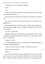"I changed my mind," he said after a moment.

*Oh oh.*

"Sir?"

"This visit to the club is all about new experiences. I don't want to go back to an old standard with you."

Old standard? Had we gotten that far already? Everything still seemed so new.

"You may not be ready for those other rooms yet, but I'd like to try a paddle on you."

I felt my pulse quicken as my body tensed. A paddle. How would that feel? Different from the flogger and crop no doubt, but would I like it? Only one way to find out.

"Yes, Sir," I said bravely.

Suddenly I felt his body close behind me as he pressed his leather-covered cock against my buttocks and leaned in close to my ear. "Don't worry. You'll love it," he whispered.

I gulped. "Yes, Sir."

He reached around to grasp my cock with his hand, testing its hardness as he pumped teasingly against me.

"When will you fuck me Sir?" I asked. "I want you to fuck me."

"I know. Soon. But not yet."

*Dammit.*

He moved away, leaving my body zinging from the close contact. I felt pre-cum pool at the top of my dick and slide down over the glans to hover there—waiting, it seemed, just like me. I rattled my wrist restraints again and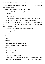rubbed my cock against the polished wood of the cross. It felt good but provided little relief.

Suddenly, something cold pressed against my behind.

Ryan rubbed the flat of the rectangular paddle over my sensitive butt cheeks. It felt like rubber.

He gave me a trial swat.

I gasped as it made contact. I'd learned I was tougher than I looked tougher than I actually felt most days. I could take stuff that I'd never imagined I could tolerate. I'd learned that I liked a bit of pain—craved it, in fact. I told Ryan I felt like a freak. He said if that made me feel like a freak I was in pretty good company.

He hit me with the rubber paddle again. It burned and stung.

"What do you think?"

"It stings."

"Good."

"I like it."

"I figured."

I grinned, then cried out with the next one. "Ow."

"Boy, that's nothing. I'm being gentle right now."

"I know."

"I'm warming you up."

"Thank you, Sir."

"You're very welcome, Henry."

He continued to swat my ass with the paddle while I hung onto my restraints for dear life, trying not to sound like a baby. I made lots of noise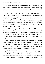though because I knew that turned Ryan on more than anything else. But I made sure they were masculine grunts, groans and curses, rather than whimpers and girly cries. At least I tried. Maybe they got kind of girly toward the end…

By the time he'd finished with me, or at least, finished with the paddle, I'm sure my ass glowed bright red. I sweated on that cross from the effort of withstanding that amount of pain, but I'd done it. I felt proud and satisfied and tougher than tough. It felt good to please Ryan. He had some kind of extreme faith in my ability to triumph over adversity and I didn't want to disappoint him. He was like a trainer of sorts, but instead of yelling at me to finish my reps, he tested my strength and endurance by paddling my ass. Different strokes for different folks, I guess.

I heard Ryan panting from the exertion and excitement. He'd been very forthright with me about the fact that he got off on this sort of thing and held no shame or guilt because of it. He only did it to willing partners, so what was there to feel guilty about? He said that pain and pleasure were all part of the human experience, and sometimes it was difficult to delineate one from the other.

Sometimes, sitting in class or working at my call centre job, I thought about the things I let Ryan do to me and wondered if I were entirely normal. It only lasted for a moment, at which point I decided I didn't give a rat's ass if I was normal or the biggest freak on the planet. I loved what Ryan and I did together in the privacy of Apartment 1209 and now in the back room of his BDSM club. I'd never felt more satisfied and alive. I found that, although I had less time to study, when I *did* sit down to look at my notes, I could do so with undivided attention, not distracted by free-floating sexual tension. Ryan took care of all my sexual tension. He teased it, spanked it, and pulled it out of me in long sessions that left me so sated I wondered how I'd survived for so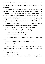long on my own hand jobs. I slept so deeply at night now I couldn't remember my dreams.

"I'm going to turn you around," he said, as I felt his hands at my wrist restraints. I let my arms fall as he worked on my ankle bindings, feeling the stretch and pull of sore muscles. I hoped he would give me one of his amazing all-over body massages once we got back to his apartment. He always took care of me and made sure that our games never caused any undue discomfort, although I had to admit that having a sensitive ass for a few days after a good flogging or work-over with the riding crop could be a thrilling little secret.

Ryan turned me around and refastened my wrists and ankles. He pinched my nipples and took my chin in his hand, forcing me to look at him.

"How are you enjoying this so far, my sweet, young thing?"

"Can't you tell?" I said, glancing down at my leaking, erect cock.

He looked at it too, and chuckled. "So pretty."

"It's crying because you won't fuck me."

He stared at me for a long time while I gazed back with raw passion and need.

"Do you know why I've waited so long?" he asked finally.

"To get me ready?"

He smiled. "Henry, you've been ready for a long, long time," he said, sliding his rough hand down my chest, over my belly, until it wrapped around my jutting cock.

I gasped. "Then… why?"

He kissed my cheek gently before he continued. "I was always one of those kids who'd save my chocolate bar for three months because I wanted to look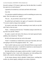forward to eating it. If I'd eaten it right away, like the other kids, it wouldn't have given me so much pleasure."

I groaned as he stroked my cock back and forth with his hand.

*Fuck. Me.*

"It's also been wonderful making you wait for something you wantso very badly. That's the sadist in me, I guess."

"Do you… do you do this to all your boys?" I asked.

He pulled back and looked at me again as if surprised at that question. "I've never waited so long to fuck anybody."

We stared at each other, his hand continuing to move lazily on my dick until I had to close my eyes.

"Ryan… I need you to fuck me now," I breathed, trying to control the way my chest rose and fell. "Please."

He made a sound in the back of his throat as his hand squeezed harder suddenly, then released me. "Not here."

He fell to his knees and took my cock in his mouth.

"Fuck!" I exclaimed as I looked down at the top of his head, and at my cock going in and out of his gorgeous mouth. "Sir… wait."

Then I couldn't make any more words. My head fell back as I gave myself up to the wetness and suction. I could tell he wanted me to come because he rocked the steel plug roughly as he sucked me.

My body stiffened as the orgasm coiled in my balls. I couldn't even warn him it happened so fast. I came with a deep groan, my wrists pulling at the leather cuffs, muscles contracting and releasing as I let go.

As the intense pleasure slowly subsided I looked down, watching him swallow my release eagerly, making his own noises of pleasure.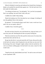When he finished, he stood up and embraced my bound form, kissing me deeply as he pushed his muscled body against me. I felt the hard steel of his dick under his leather pants.

"I'm taking you home now," he said gently. "So I can fuck you properly. Don't say anything. Just nod if that's okay with you."

I nodded, but couldn't help smiling.

*Thank the freaking Lord.* His chocolate bar was in danger of melting all over the goddamn floor at the moment.

He grinned. "I'm leaving the plug in and I don't want a word out of you until I say you can speak, *capisce*?"

I nodded. Fuck, I loved his games.

\*\*\*\*

He took me down from the cross and dressed me, tying my boots as if I were four years old. Watching him do that was pretty fucking hot.

Then he escorted me out of his club, past the curious eyes of so many men, out the back door and into his car.

He got into the driver's seat and started the old Toyota, then put the radio on the hard rock station, loud. He glanced at me and when our eyes met I felt the burning of his need. I thought I might combust when he touched me. My cock was already swelling again, the hard steel in my anus a tease for what would come.

\*\*\*\*

"Stand by the sofa, hands behind your back," he said as soon as he keyed us into Apartment 1209.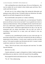I did, watching Ryan move about the space. He was so fucking sexy—the way he walked, the way he looked in those leather pants and boots. Shit, I could watch him for hours.

He took care of a few ordinary things, like starting the dishwasher and putting on some coffee for later. No doubt to delay my satisfaction. He totally ignored me and finally disappeared into the bedroom.

My excited breaths came quicker as I waited, wondering.

Would he fuck me here on the leather sofa, or in the bedroom? Would he put me on all fours or have me on my back? I was so grateful not to have to make any of these decisions. I felt so privileged to be the vessel for this man's lust it was a little insane. I glanced down to see the outline of my hard-on in the red leather pants. I think Ryan appreciated the fact that, at my age, the turnaround time was almost non-existent. Like my dick was aware of everything it had missed for so many years and refused to lose any opportunities.

I closed my eyes, remembering his mouth on it just a short time ago. I'd never been sucked off by a woman and I recoiled from the idea of softness or tentativeness in that situation. I craved a man's mouth on my dick, my balls and ass. To be eaten by another man felt primal and wild. A woman's mouth would never satisfy me. I knew this for a fact.

"Henry. Take off your boots, socks and pants and come here," he called from the bedroom.

### *Bedroom it is, then.*

I hastily undressed, so eager to relinquish my clothes I ended up tripping and falling onto my naked ass, which still smarted from the paddling.

Ryan popped his head out the bedroom door. "Don't hurt yourself, Henry."

"No, Sir." How embarrassing.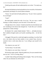I finally got the pants off and walked quickly over to him. "I'm ready now, Sir."

His hand slid behind my head and pulled my face toward his. He kissed me passionately and deeply for several intense moments.

"I know," he said when he finally pulled away. "So am I. I have a question for you though."

"Yeah?"

His hand gently stroked the side of my face. "Do you want a vanilla fucking or a kinky fucking for your first time? I'll do either one."

I thought about it for a minute. I looked around him into the bedroom and saw something on his dresser that intrigued me. "Looks like you've already prepared for a kinky fucking."

He blushed. Mr. Leather Daddy blushed. "Well, I… old habits die hard. But I suddenly thought maybe you'd prefer something softer… for the first time."

I shrugged. If the past few weeks had taught me anything, it was that I had not a clue about what my body needed or even wanted. Ryan, however, seemed to have a sixth sense about me. I was willing to put myself in his hands.

"Do whatever you want, Sir."

"Call me Ryan," he said softly.

"Do whatever you want, Ryan. I trust you."

He kissed me again, gently. When he pulled away, his eyes seemed to look into my soul. "You're so strong, Henry."

I couldn't help smiling and looking at him strangely. "How can I be strong when I let you dominate me all the time?"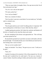"There are many kinds of strengths, Henry. Now get onto my bed. On all fours and spread your legs."

"Yes, Sir. Can I call you that again?"

"Of course, pretty boy."

"Can I call you Daddy?"

There was a moment of silence.

"Not if you don't want me to come before I'm even inside you," he finally said in a strained voice.

### *Interesting.*

"Now be quiet and do as you're told. No talking unless it's important. Tell me if anything hurts or feels bad, of course. Other than that, silence."

I nodded, getting into position. He'd taken the comforter and blankets off the bed, so I kneeled on the clean blue sheets and waited.

He took something off the dresser and approached me. "This will keep your knees spread for me."

He attached the spreader bar to just below my knees with leather cuffs that he buckled tight. "I'd normally buckle your wrists behind your back but for a first fucking I don't want to do that."

"But can we do it another time?"

Again, he chuckled. "Yes, Henry." He gave my ass a swat. "I told you to be quiet."

"Sorry, Sir."

I quieted, focusing on the sensations I felt as Ryan prepared me. He took his time and I wondered how he could stand it. The man was a bastion of control. Finally, I heard the rustling of clothes and turned my head. I couldn't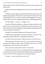help groaning when he pushed his leather pants down and his huge cock bounced free.

He got up onto the bed, kneeling so that his cock was level with my mouth. "Open."

I opened my mouth eagerly, taking his beautiful, thick prick inside it. He gasped, pumping gently. I did the best I could, letting saliva drip from my lips and taking him an inch or so down my throat before gagging. The noises he made as I did so sent waves of pleasure through me. I loved doing this for him.

"Oh, fuck, Henry… you are so… fucking… hot."

I renewed my efforts, giving him a willing wet mouth and throat to fuck before he got to the other place, still filled with steel and expectations. He played with my short hair, threading hisfingers through it, grabbing it to guide me, and stroking it affectionately.

"Enough," he said finally, pulling out and moving off the bed.

I heard him go around behind me and felt his fingers on the base of the metal plug, which had become so comfortable and necessary.

"Go down on your chest, Henry. Flatten your arms out in front of you."

I did as he asked, stretching out like a lazy cat as he pulled on the base of the plug. The feeling, as always, made me shudder and moan as my hole stretched open to allow the slick steel to slide out.

"Boy, you look so fucking hot back here," he whispered.

His hand reached under me to cup my balls and then move along the length of my arching cock. My ass felt empty and abandoned, butsoon the fingers of his other hand were there, pushing inside me, deep and insistent.

"So warm… you *are* ready for me, aren't you?"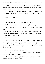I moaned, pushing back on his fingers and pressing my face against the smooth, clean-smelling sheets. I felt so vulnerable with the bar between my knees, but it made things even more exciting.

He fingered me for a long time, manipulating my prostrate until I begged him with whimpers and grunts, if not actual words. But soon I couldn't bear to be silent.

"Ryan, I… I want to talk."

"Why?"

"Because you need… to know how… desperate I am."

"Believe me, I can tell," he said, making me squirm and gasp.

"Then fuck me dammit! Jesus Christ why won't you… just fucking ram me?"

Ryan laughed. "You sweet virgin slut," he said, with obvious affection. He grabbed my thighs and pulled my bound knees to the edge of the mattress. "You want it? You want it now?"

"Yes!" I moaned.

I felt the tip of his prick press against my hole. He groaned as the head pushed easily into my eager ass, followed quickly by the entire substantial length of his cock. I groaned and grabbed the sheets in my fists, grimacing in pleasure and surprise as he drove deep and stayed deep. I felt his belly and balls against me.

"How does that feel?" he asked, voice shaking.

"Oh… fuck… fuck." Finally, I had another man's dick inside me. Ryan's dick. It felt as good as I'd imagined.

"That's what I thought. I'm going to fuck you now, Henry. Tell me if it's too hard or fast and I'll slow down."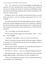"Yes… Sir." The pitch of my voice had changed, becoming high and emotional. If I'd felt vulnerable before, now that I had his dick to the hilt in me, there was nothing to do but take it. I felt pierced and thrillingly invaded. My mouth lay open and slack against the sheets, breaths coming in pants, eyes wide open with expectation.

He began to fuck me, slow and deep. He'd pull almost all the way out and slowly push back in, each time eliciting a primal grunt from me. It felt incredible.

For a while I lost myself in the feel of him sliding in and out, in and out. It felt just like I'd always imagined, only better. But I wanted more. I listened to him pant and make the smallest noises of pleasure, but I wanted to hear him yell. I wanted to hear him groan and lose himself in me, so I said what I knew would do it.

"Oh… fuck, Daddy, you feel sooooo gooooood."

He froze. Then his hands gripped my hips painfully. "Don't… I won't last… stop," he begged.

"I want you to come, Daddy. I want you to shoot your load in me."

"Henry!" he cried out. He moved quicker, harder and rougher, fucking me in earnest now, not concerned about the newness of the experience for me as he chased his own orgasm.

That was what I wanted—his pleasure, his uncontrolled need and desire. I grinned against the sheets as he fucked me hard.

"Oh, fuck yes… fuck yes… fuck yes." he groaned through gritted teeth.

He rammed me deep—once, twice—then stilled as he cried out. His dick erupted, thighs quaking. I could feel him, all of him, through his cock.

"Henry, you fucking sneaky little cunt," he swore as he finished inside me. "You beautiful, crazy, insatiable boy."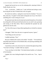I gasped and moved my ass over his softening dick, enjoying it before it finally shrank out of me.

"You… are the best… Daddy ever," I said, still hard and aching to come, but loving the fact that I'd beaten him at his own game.

He raised one eyebrow, wiping the sweat from his forehead. "You are a dirty, dirty boy. I'm glad I've been able to bring that out of you. Now there's something else I want to bring out of you."

He squeezed some lube into his hand and reached beneath me. He stroked my aching dick with his practiced hand and ate my ass until I came, groaning and cursing, on the blue sheets. Then he unbuckled the spreader bar and gathered me into his arms.

"So. How *did* you go so long without getting that ass fucked by someone else?"

I shrugged. "Didn't have the nerve to approach anyone, I guess."

"Good thing you lost your key."

I nodded, grinning. "Fate."

His eyes crinkled at the corners as he smiled. "Actually—" He reached out and pulled open the drawer of his bedside table, soon placing something cold and small in my hand.

I stared down at the worn, brown key for a moment then glanced up at him. "You had it all along." I couldn't hide my surprise.

"I saw you drop it in the lobby." He looked almost bashful, as if ashamed of his deception.

I gulped, all at once feeling the depth of his need for me. "You… kept it safe."

"Yes."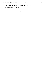"Thank you, Sir." I said, gazing into his grey eyes.

"You're welcome, Henry."

### **THE END**